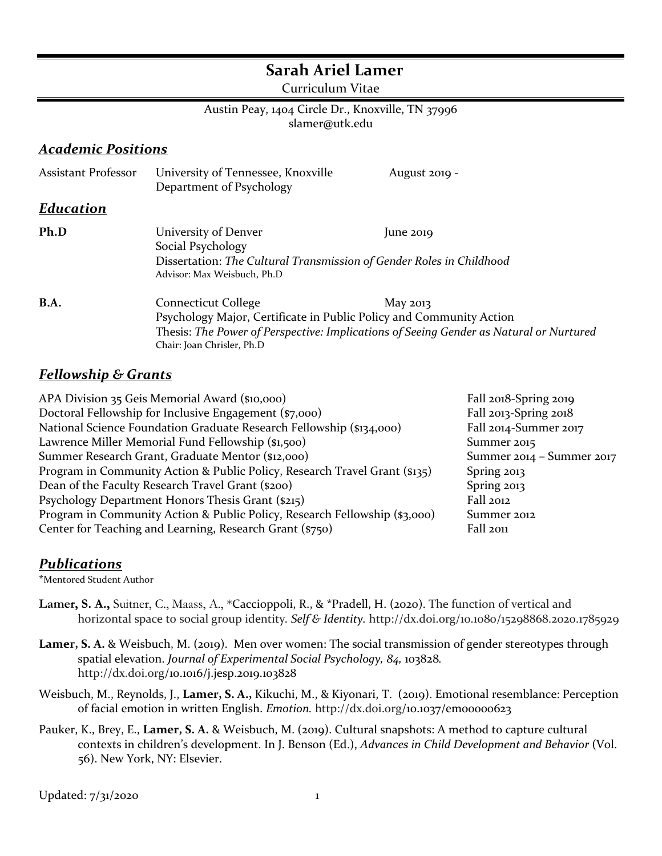# **Sarah Ariel Lamer**

Curriculum Vitae

#### Austin Peay, 1404 Circle Dr., Knoxville, TN 37996 slamer@utk.edu

#### *Academic Positions*

| <b>Assistant Professor</b> | University of Tennessee, Knoxville<br>Department of Psychology                                                                                                                                                                        | August 2019 - |
|----------------------------|---------------------------------------------------------------------------------------------------------------------------------------------------------------------------------------------------------------------------------------|---------------|
| Education                  |                                                                                                                                                                                                                                       |               |
| Ph.D                       | University of Denver<br>Social Psychology<br>Dissertation: The Cultural Transmission of Gender Roles in Childhood<br>Advisor: Max Weisbuch, Ph.D                                                                                      | $\mu$ ne 2019 |
| <b>B.A.</b>                | <b>Connecticut College</b><br>May 2013<br>Psychology Major, Certificate in Public Policy and Community Action<br>Thesis: The Power of Perspective: Implications of Seeing Gender as Natural or Nurtured<br>Chair: Joan Chrisler, Ph.D |               |

### *Fellowship & Grants*

| Fall 2018-Spring 2019     |
|---------------------------|
| Fall 2013-Spring 2018     |
| Fall 2014-Summer 2017     |
| Summer 2015               |
| Summer 2014 - Summer 2017 |
| Spring 2013               |
| Spring 2013               |
| Fall 2012                 |
| Summer 2012               |
| Fall 2011                 |
|                           |

## *Publications*

\*Mentored Student Author

- Lamer, S. A., Suitner, C., Maass, A., \*Caccioppoli, R., & \*Pradell, H. (2020). The function of vertical and horizontal space to social group identity*. Self & Identity.* http://dx.doi.org/10.1080/15298868.2020.1785929
- Lamer, S. A. & Weisbuch, M. (2019). Men over women: The social transmission of gender stereotypes through spatial elevation. *Journal of Experimental Social Psychology, 84,* 103828*.* http://dx.doi.org/10.1016/j.jesp.2019.103828
- Weisbuch, M., Reynolds, J., **Lamer, S. A.,** Kikuchi, M., & Kiyonari, T. (2019). Emotional resemblance: Perception of facial emotion in written English. *Emotion.* http://dx.doi.org/10.1037/emo0000623
- Pauker, K., Brey, E., **Lamer, S. A.** & Weisbuch, M. (2019). Cultural snapshots: A method to capture cultural contexts in children's development. In J. Benson (Ed.), *Advances in Child Development and Behavior* (Vol. 56). New York, NY: Elsevier.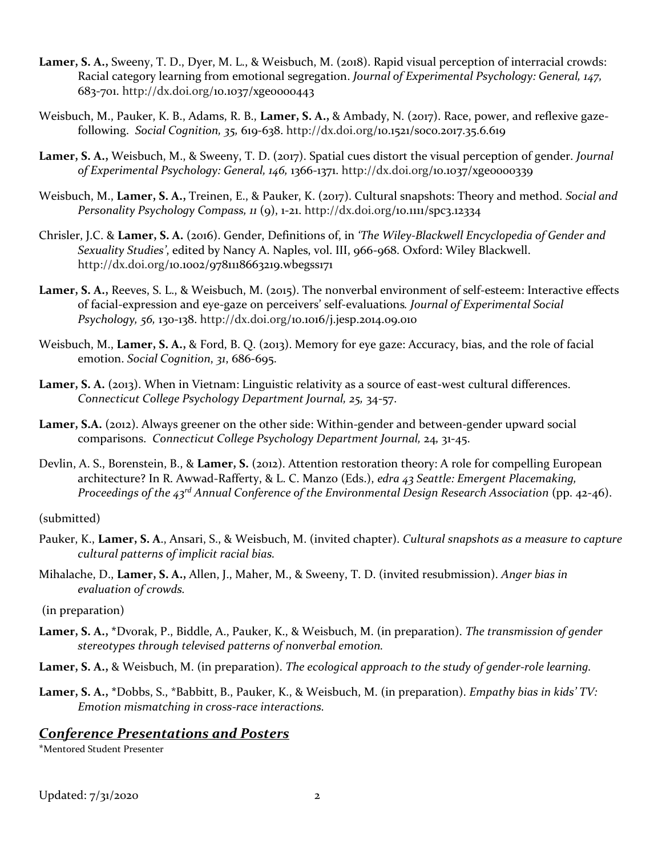- **Lamer, S. A.,** Sweeny, T. D., Dyer, M. L., & Weisbuch, M. (2018). Rapid visual perception of interracial crowds: Racial category learning from emotional segregation. *Journal of Experimental Psychology: General, 147,*  683-701. http://dx.doi.org/10.1037/xge0000443
- Weisbuch, M., Pauker, K. B., Adams, R. B., **Lamer, S. A.,** & Ambady, N. (2017). Race, power, and reflexive gazefollowing. *Social Cognition, 35,* 619-638. http://dx.doi.org/10.1521/soco.2017.35.6.619
- **Lamer, S. A.,** Weisbuch, M., & Sweeny, T. D. (2017). Spatial cues distort the visual perception of gender. *Journal of Experimental Psychology: General, 146,* 1366-1371. http://dx.doi.org/10.1037/xge0000339
- Weisbuch, M., **Lamer, S. A.,** Treinen, E., & Pauker, K. (2017). Cultural snapshots: Theory and method. *Social and Personality Psychology Compass, 11* (9), 1-21. http://dx.doi.org/10.1111/spc3.12334
- Chrisler, J.C. & **Lamer, S. A.** (2016). Gender, Definitions of, in *'The Wiley-Blackwell Encyclopedia of Gender and Sexuality Studies'*, edited by Nancy A. Naples, vol. III, 966-968. Oxford: Wiley Blackwell. http://dx.doi.org/10.1002/9781118663219.wbegss171
- **Lamer, S. A.,** Reeves, S. L., & Weisbuch, M. (2015). The nonverbal environment of self-esteem: Interactive effects of facial-expression and eye-gaze on perceivers' self-evaluations*. Journal of Experimental Social Psychology, 56,* 130-138. http://dx.doi.org/10.1016/j.jesp.2014.09.010
- Weisbuch, M., **Lamer, S. A.,** & Ford, B. Q. (2013). Memory for eye gaze: Accuracy, bias, and the role of facial emotion. *Social Cognition*, *31*, 686-695.
- **Lamer, S. A.** (2013). When in Vietnam: Linguistic relativity as a source of east-west cultural differences. *Connecticut College Psychology Department Journal, 25,* 34-57.
- Lamer, S.A. (2012). Always greener on the other side: Within-gender and between-gender upward social comparisons. *Connecticut College Psychology Department Journal,* 24*,* 31-45.
- Devlin, A. S., Borenstein, B., & **Lamer, S.** (2012). Attention restoration theory: A role for compelling European architecture? In R. Awwad-Rafferty, & L. C. Manzo (Eds.), *edra 43 Seattle: Emergent Placemaking, Proceedings of the 43rd Annual Conference of the Environmental Design Research Association* (pp. 42-46).

(submitted)

- Pauker, K., **Lamer, S. A**., Ansari, S., & Weisbuch, M. (invited chapter). *Cultural snapshots as a measure to capture cultural patterns of implicit racial bias.*
- Mihalache, D., **Lamer, S. A.,** Allen, J., Maher, M., & Sweeny, T. D. (invited resubmission). *Anger bias in evaluation of crowds.*

(in preparation)

- **Lamer, S. A., \***Dvorak, P., Biddle, A., Pauker, K., & Weisbuch, M. (in preparation). *The transmission of gender stereotypes through televised patterns of nonverbal emotion.*
- **Lamer, S. A.,** & Weisbuch, M. (in preparation). *The ecological approach to the study of gender-role learning.*
- **Lamer, S. A., \***Dobbs, S., \*Babbitt, B., Pauker, K., & Weisbuch, M. (in preparation). *Empathy bias in kids' TV: Emotion mismatching in cross-race interactions.*

#### *Conference Presentations and Posters*

\*Mentored Student Presenter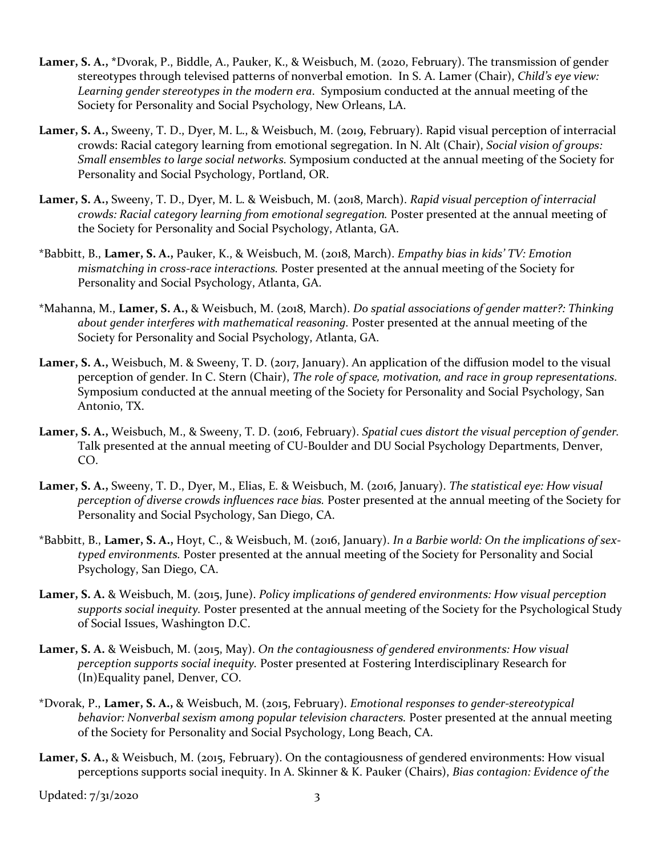- **Lamer, S. A., \***Dvorak, P., Biddle, A., Pauker, K., & Weisbuch, M. (2020, February). The transmission of gender stereotypes through televised patterns of nonverbal emotion. In S. A. Lamer (Chair), *Child's eye view: Learning gender stereotypes in the modern era*. Symposium conducted at the annual meeting of the Society for Personality and Social Psychology, New Orleans, LA.
- **Lamer, S. A.,** Sweeny, T. D., Dyer, M. L., & Weisbuch, M. (2019, February). Rapid visual perception of interracial crowds: Racial category learning from emotional segregation. In N. Alt (Chair), *Social vision of groups: Small ensembles to large social networks.* Symposium conducted at the annual meeting of the Society for Personality and Social Psychology, Portland, OR.
- **Lamer, S. A.,** Sweeny, T. D., Dyer, M. L. & Weisbuch, M. (2018, March). *Rapid visual perception of interracial crowds: Racial category learning from emotional segregation.* Poster presented at the annual meeting of the Society for Personality and Social Psychology, Atlanta, GA.
- \*Babbitt, B., **Lamer, S. A.,** Pauker, K., & Weisbuch, M. (2018, March). *Empathy bias in kids' TV: Emotion mismatching in cross-race interactions.* Poster presented at the annual meeting of the Society for Personality and Social Psychology, Atlanta, GA.
- \*Mahanna, M., **Lamer, S. A.,** & Weisbuch, M. (2018, March). *Do spatial associations of gender matter?: Thinking about gender interferes with mathematical reasoning.* Poster presented at the annual meeting of the Society for Personality and Social Psychology, Atlanta, GA.
- Lamer, S. A., Weisbuch, M. & Sweeny, T. D. (2017, January). An application of the diffusion model to the visual perception of gender. In C. Stern (Chair), *The role of space, motivation, and race in group representations.*  Symposium conducted at the annual meeting of the Society for Personality and Social Psychology, San Antonio, TX.
- **Lamer, S. A.,** Weisbuch, M., & Sweeny, T. D. (2016, February). *Spatial cues distort the visual perception of gender.*  Talk presented at the annual meeting of CU-Boulder and DU Social Psychology Departments, Denver, CO.
- **Lamer, S. A.,** Sweeny, T. D., Dyer, M., Elias, E. & Weisbuch, M. (2016, January). *The statistical eye: How visual perception of diverse crowds influences race bias.* Poster presented at the annual meeting of the Society for Personality and Social Psychology, San Diego, CA.
- \*Babbitt, B., **Lamer, S. A.,** Hoyt, C., & Weisbuch, M. (2016, January). *In a Barbie world: On the implications of sextyped environments.* Poster presented at the annual meeting of the Society for Personality and Social Psychology, San Diego, CA.
- **Lamer, S. A.** & Weisbuch, M. (2015, June). *Policy implications of gendered environments: How visual perception supports social inequity.* Poster presented at the annual meeting of the Society for the Psychological Study of Social Issues, Washington D.C.
- **Lamer, S. A.** & Weisbuch, M. (2015, May). *On the contagiousness of gendered environments: How visual perception supports social inequity.* Poster presented at Fostering Interdisciplinary Research for (In)Equality panel, Denver, CO.
- \*Dvorak, P., **Lamer, S. A.,** & Weisbuch, M. (2015, February). *Emotional responses to gender-stereotypical behavior: Nonverbal sexism among popular television characters.* Poster presented at the annual meeting of the Society for Personality and Social Psychology, Long Beach, CA.
- **Lamer, S. A.,** & Weisbuch, M. (2015, February). On the contagiousness of gendered environments: How visual perceptions supports social inequity. In A. Skinner & K. Pauker (Chairs), *Bias contagion: Evidence of the*

Updated: 7/31/2020 3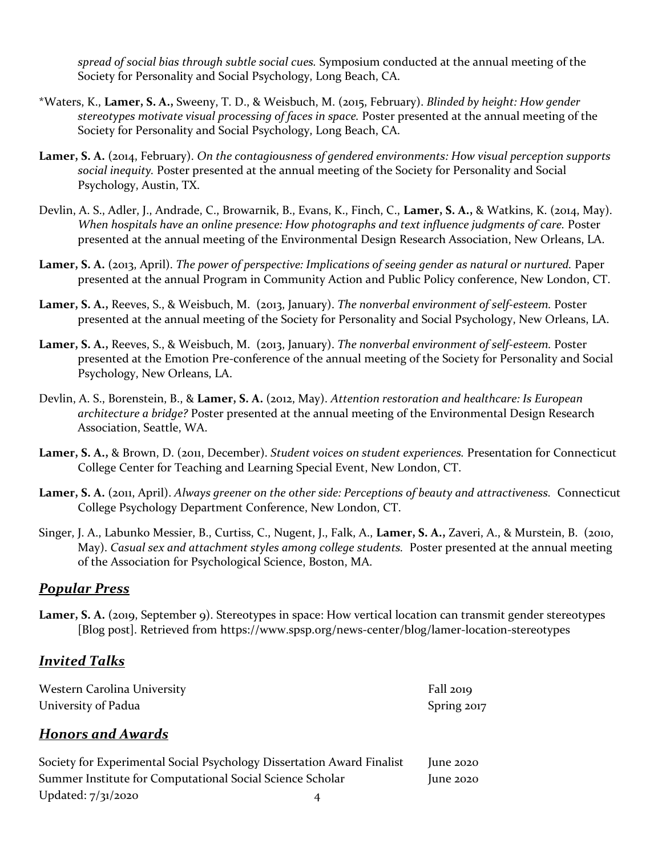*spread of social bias through subtle social cues.* Symposium conducted at the annual meeting of the Society for Personality and Social Psychology, Long Beach, CA.

- \*Waters, K., **Lamer, S. A.,** Sweeny, T. D., & Weisbuch, M. (2015, February). *Blinded by height: How gender stereotypes motivate visual processing of faces in space.* Poster presented at the annual meeting of the Society for Personality and Social Psychology, Long Beach, CA.
- **Lamer, S. A.** (2014, February). *On the contagiousness of gendered environments: How visual perception supports social inequity.* Poster presented at the annual meeting of the Society for Personality and Social Psychology, Austin, TX.
- Devlin, A. S., Adler, J., Andrade, C., Browarnik, B., Evans, K., Finch, C., **Lamer, S. A.,** & Watkins, K. (2014, May). *When hospitals have an online presence: How photographs and text influence judgments of care.* Poster presented at the annual meeting of the Environmental Design Research Association, New Orleans, LA.
- **Lamer, S. A.** (2013, April). *The power of perspective: Implications of seeing gender as natural or nurtured.* Paper presented at the annual Program in Community Action and Public Policy conference, New London, CT.
- **Lamer, S. A.,** Reeves, S., & Weisbuch, M. (2013, January). *The nonverbal environment of self-esteem.* Poster presented at the annual meeting of the Society for Personality and Social Psychology, New Orleans, LA.
- **Lamer, S. A.,** Reeves, S., & Weisbuch, M. (2013, January). *The nonverbal environment of self-esteem.* Poster presented at the Emotion Pre-conference of the annual meeting of the Society for Personality and Social Psychology, New Orleans, LA.
- Devlin, A. S., Borenstein, B., & **Lamer, S. A.** (2012, May). *Attention restoration and healthcare: Is European architecture a bridge?* Poster presented at the annual meeting of the Environmental Design Research Association, Seattle, WA.
- **Lamer, S. A.,** & Brown, D. (2011, December). *Student voices on student experiences.* Presentation for Connecticut College Center for Teaching and Learning Special Event, New London, CT.
- **Lamer, S. A.** (2011, April). *Always greener on the other side: Perceptions of beauty and attractiveness.* Connecticut College Psychology Department Conference, New London, CT.
- Singer, J. A., Labunko Messier, B., Curtiss, C., Nugent, J., Falk, A., **Lamer, S. A.,** Zaveri, A., & Murstein, B. (2010, May). *Casual sex and attachment styles among college students.* Poster presented at the annual meeting of the Association for Psychological Science, Boston, MA.

### *Popular Press*

**Lamer, S. A.** (2019, September 9). Stereotypes in space: How vertical location can transmit gender stereotypes [Blog post]. Retrieved from https://www.spsp.org/news-center/blog/lamer-location-stereotypes

### *Invited Talks*

| <b>Western Carolina University</b> | Fall $2019$ |
|------------------------------------|-------------|
| University of Padua                | Spring 2017 |

### *Honors and Awards*

| Society for Experimental Social Psychology Dissertation Award Finalist |   | $\mu$ ne 2020 |
|------------------------------------------------------------------------|---|---------------|
| Summer Institute for Computational Social Science Scholar              |   | $\mu$ ne 2020 |
| Updated: 7/31/2020                                                     | 4 |               |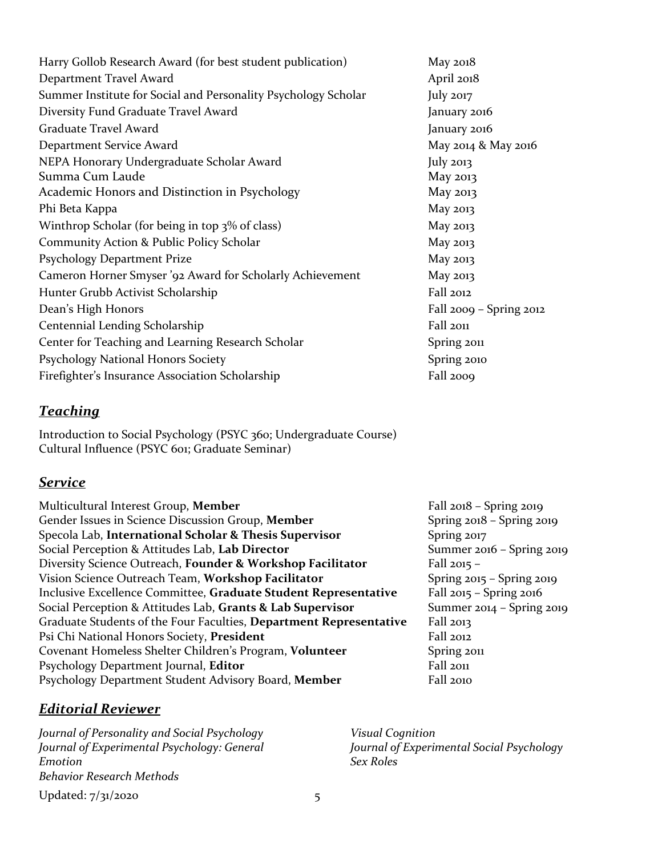| Harry Gollob Research Award (for best student publication)     | May 2018                    |
|----------------------------------------------------------------|-----------------------------|
| Department Travel Award                                        | April 2018                  |
| Summer Institute for Social and Personality Psychology Scholar | July 2017                   |
| Diversity Fund Graduate Travel Award                           | January 2016                |
| Graduate Travel Award                                          | January 2016                |
| Department Service Award                                       | May 2014 & May 2016         |
| NEPA Honorary Undergraduate Scholar Award                      | July $2013$                 |
| Summa Cum Laude                                                | May 2013                    |
| Academic Honors and Distinction in Psychology                  | May 2013                    |
| Phi Beta Kappa                                                 | May 2013                    |
| Winthrop Scholar (for being in top 3% of class)                | May 2013                    |
| Community Action & Public Policy Scholar                       | May 2013                    |
| Psychology Department Prize                                    | May 2013                    |
| Cameron Horner Smyser '92 Award for Scholarly Achievement      | May 2013                    |
| Hunter Grubb Activist Scholarship                              | Fall 2012                   |
| Dean's High Honors                                             | Fall $2009 -$ Spring $2012$ |
| Centennial Lending Scholarship                                 | Fall 2011                   |
| Center for Teaching and Learning Research Scholar              | Spring 2011                 |
| Psychology National Honors Society                             | Spring 2010                 |
| Firefighter's Insurance Association Scholarship                | Fall 2009                   |

## *Teaching*

Introduction to Social Psychology (PSYC 360; Undergraduate Course) Cultural Influence (PSYC 601; Graduate Seminar)

### *Service*

| Multicultural Interest Group, Member                               | Fall $2018 -$ Spring $2019$   |
|--------------------------------------------------------------------|-------------------------------|
| Gender Issues in Science Discussion Group, Member                  | Spring $2018 -$ Spring $2019$ |
| Specola Lab, International Scholar & Thesis Supervisor             | Spring 2017                   |
| Social Perception & Attitudes Lab, Lab Director                    | Summer 2016 - Spring 2019     |
| Diversity Science Outreach, Founder & Workshop Facilitator         | Fall $2015 -$                 |
| Vision Science Outreach Team, Workshop Facilitator                 | Spring $2015 -$ Spring $2019$ |
| Inclusive Excellence Committee, Graduate Student Representative    | Fall $2015 -$ Spring $2016$   |
| Social Perception & Attitudes Lab, Grants & Lab Supervisor         | Summer 2014 - Spring 2019     |
| Graduate Students of the Four Faculties, Department Representative | Fall 2013                     |
| Psi Chi National Honors Society, President                         | Fall 2012                     |
| Covenant Homeless Shelter Children's Program, Volunteer            | Spring 2011                   |
| Psychology Department Journal, Editor                              | Fall 2011                     |
| Psychology Department Student Advisory Board, Member               | Fall 2010                     |

## *Editorial Reviewer*

Updated: 7/31/2020 5 *Journal of Personality and Social Psychology Journal of Experimental Psychology: General Emotion Behavior Research Methods*

*Visual Cognition Journal of Experimental Social Psychology Sex Roles*